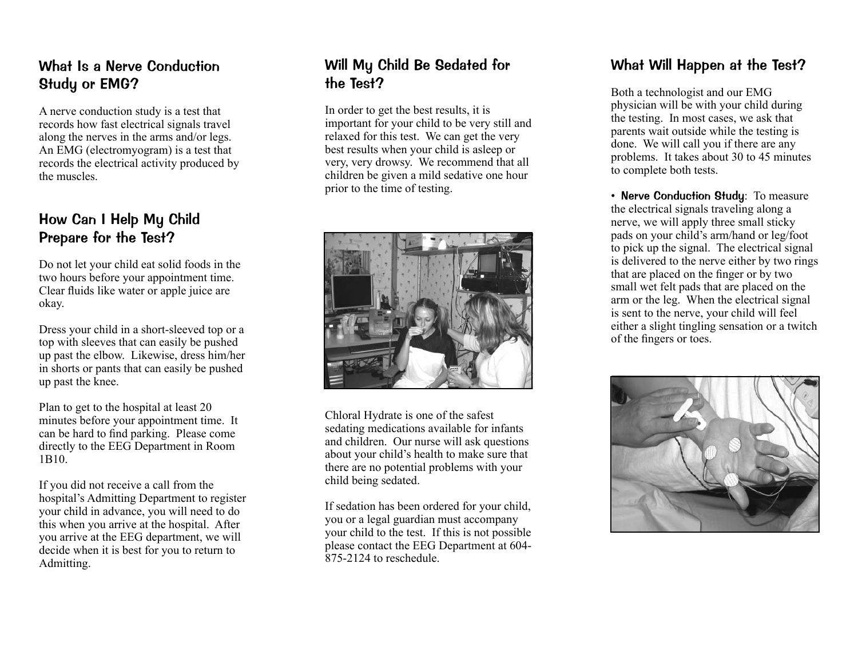# What Is a Nerve Conduction Study or EMG?

A nerve conduction study is a test that records how fast electrical signals travel along the nerves in the arms and/or legs. An EMG (electromyogram) is a test that records the electrical activity produced by the muscles.

# How Can I Help My Child Prepare for the Test?

Do not let your child eat solid foods in the two hours before your appointment time. Clear fluids like water or apple juice are okay.

Dress your child in a short-sleeved top or a top with sleeves that can easily be pushed up past the elbow. Likewise, dress him/her in shorts or pants that can easily be pushed up past the knee.

Plan to get to the hospital at least 20 minutes before your appointment time. It can be hard to find parking. Please come directly to the EEG Department in Room 1B10.

If you did not receive a call from the hospital's Admitting Department to register your child in advance, you will need to do this when you arrive at the hospital. After you arrive at the EEG department, we will decide when it is best for you to return to Admitting.

# Will My Child Be Sedated for the Test?

In order to get the best results, it is important for your child to be very still and relaxed for this test. We can get the very best results when your child is asleep or very, very drowsy. We recommend that all children be given a mild sedative one hour prior to the time of testing.



Chloral Hydrate is one of the safest sedating medications available for infants and children. Our nurse will ask questions about your child's health to make sure that there are no potential problems with your child being sedated.

If sedation has been ordered for your child, you or a legal guardian must accompany your child to the test. If this is not possible please contact the EEG Department at 604- 875-2124 to reschedule.

# What Will Happen at the Test?

Both a technologist and our EMG physician will be with your child during the testing. In most cases, we ask that parents wait outside while the testing is done. We will call you if there are any problems. It takes about 30 to 45 minutes to complete both tests.

• Nerve Conduction Study: To measure the electrical signals traveling along a nerve, we will apply three small sticky pads on your child's arm/hand or leg/foot to pick up the signal. The electrical signal is delivered to the nerve either by two rings that are placed on the finger or by two small wet felt pads that are placed on the arm or the leg. When the electrical signal is sent to the nerve, your child will feel either a slight tingling sensation or a twitch of the fingers or toes.